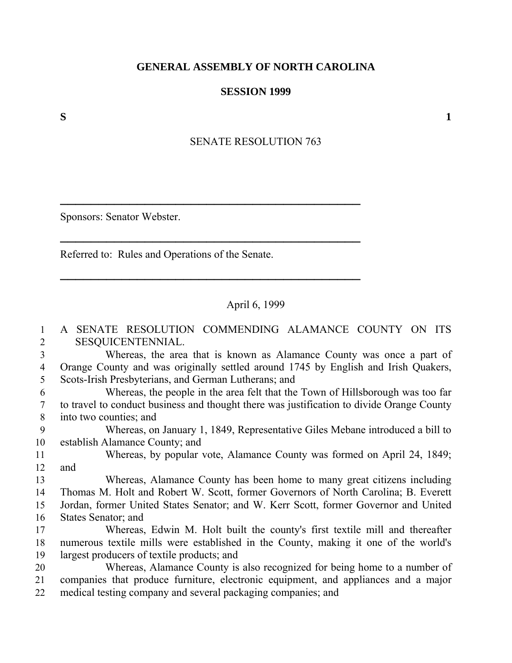## **GENERAL ASSEMBLY OF NORTH CAROLINA**

## **SESSION 1999**

SENATE RESOLUTION 763

Sponsors: Senator Webster.

Referred to: Rules and Operations of the Senate.

─────────────────────────────────<del>─</del>

───────────────────────────────────────

──────────────────────────────────<del>─</del>

## April 6, 1999

1 A SENATE RESOLUTION COMMENDING ALAMANCE COUNTY ON ITS 2 SESQUICENTENNIAL. 3 Whereas, the area that is known as Alamance County was once a part of 4 Orange County and was originally settled around 1745 by English and Irish Quakers, 5 Scots-Irish Presbyterians, and German Lutherans; and 6 Whereas, the people in the area felt that the Town of Hillsborough was too far 7 to travel to conduct business and thought there was justification to divide Orange County 8 into two counties; and 9 Whereas, on January 1, 1849, Representative Giles Mebane introduced a bill to 10 establish Alamance County; and 11 Whereas, by popular vote, Alamance County was formed on April 24, 1849; 12 and 13 Whereas, Alamance County has been home to many great citizens including 14 Thomas M. Holt and Robert W. Scott, former Governors of North Carolina; B. Everett 15 Jordan, former United States Senator; and W. Kerr Scott, former Governor and United 16 States Senator; and 17 Whereas, Edwin M. Holt built the county's first textile mill and thereafter 18 numerous textile mills were established in the County, making it one of the world's 19 largest producers of textile products; and 20 Whereas, Alamance County is also recognized for being home to a number of 21 companies that produce furniture, electronic equipment, and appliances and a major 22 medical testing company and several packaging companies; and

 $S$  1